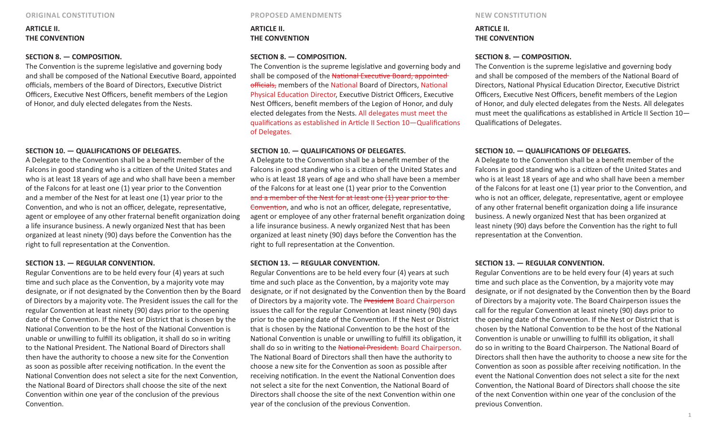# **ARTICLE II. THE CONVENTION**

### **SECTION 8. — COMPOSITION.**

The Convention is the supreme legislative and governing body and shall be composed of the National Executive Board, appointed officials, members of the Board of Directors, Executive District Officers, Executive Nest Officers, benefit members of the Legion of Honor, and duly elected delegates from the Nests.

### **SECTION 10. — QUALIFICATIONS OF DELEGATES.**

A Delegate to the Convention shall be a benefit member of the Falcons in good standing who is a citizen of the United States and who is at least 18 years of age and who shall have been a member of the Falcons for at least one (1) year prior to the Convention and a member of the Nest for at least one (1) year prior to the Convention, and who is not an officer, delegate, representative, agent or employee of any other fraternal benefit organization doing a life insurance business. A newly organized Nest that has been organized at least ninety (90) days before the Convention has the right to full representation at the Convention.

#### **SECTION 13. — REGULAR CONVENTION.**

Regular Conventions are to be held every four (4) years at such time and such place as the Convention, by a majority vote may designate, or if not designated by the Convention then by the Board of Directors by a majority vote. The President issues the call for the regular Convention at least ninety (90) days prior to the opening date of the Convention. If the Nest or District that is chosen by the National Convention to be the host of the National Convention is unable or unwilling to fulfill its obligation, it shall do so in writing to the National President. The National Board of Directors shall then have the authority to choose a new site for the Convention as soon as possible after receiving notification. In the event the National Convention does not select a site for the next Convention, the National Board of Directors shall choose the site of the next Convention within one year of the conclusion of the previous Convention.

**ORIGINAL CONSTITUTION PROPOSED AMENDMENTS NEW CONSTITUTION**

**ARTICLE II. THE CONVENTION** 

## **SECTION 8. — COMPOSITION.**

The Convention is the supreme legislative and governing body and shall be composed of the National Executive Board, appointed officials, members of the National Board of Directors, National Physical Education Director, Executive District Officers, Executive Nest Officers, benefit members of the Legion of Honor, and duly elected delegates from the Nests. All delegates must meet the qualifications as established in Article II Section 10—Qualifications of Delegates.

#### **SECTION 10. — QUALIFICATIONS OF DELEGATES.**

A Delegate to the Convention shall be a benefit member of the Falcons in good standing who is a citizen of the United States and who is at least 18 years of age and who shall have been a member of the Falcons for at least one (1) year prior to the Convention and a member of the Nest for at least one (1) year prior to the Convention, and who is not an officer, delegate, representative, agent or employee of any other fraternal benefit organization doing a life insurance business. A newly organized Nest that has been organized at least ninety (90) days before the Convention has the right to full representation at the Convention.

### **SECTION 13. — REGULAR CONVENTION.**

Regular Conventions are to be held every four (4) years at such time and such place as the Convention, by a majority vote may designate, or if not designated by the Convention then by the Board of Directors by a majority vote. The President Board Chairperson issues the call for the regular Convention at least ninety (90) days prior to the opening date of the Convention. If the Nest or District that is chosen by the National Convention to be the host of the National Convention is unable or unwilling to fulfill its obligation, it shall do so in writing to the National President. Board Chairperson. The National Board of Directors shall then have the authority to choose a new site for the Convention as soon as possible after receiving notification. In the event the National Convention does not select a site for the next Convention, the National Board of Directors shall choose the site of the next Convention within one year of the conclusion of the previous Convention.

# **ARTICLE II. THE CONVENTION**

### **SECTION 8. — COMPOSITION.**

The Convention is the supreme legislative and governing body and shall be composed of the members of the National Board of Directors, National Physical Education Director, Executive District Officers, Executive Nest Officers, benefit members of the Legion of Honor, and duly elected delegates from the Nests. All delegates must meet the qualifications as established in Article II Section 10— Qualifications of Delegates.

### **SECTION 10. — QUALIFICATIONS OF DELEGATES.**

A Delegate to the Convention shall be a benefit member of the Falcons in good standing who is a citizen of the United States and who is at least 18 years of age and who shall have been a member of the Falcons for at least one (1) year prior to the Convention, and who is not an officer, delegate, representative, agent or employee of any other fraternal benefit organization doing a life insurance business. A newly organized Nest that has been organized at least ninety (90) days before the Convention has the right to full representation at the Convention.

### **SECTION 13. — REGULAR CONVENTION.**

Regular Conventions are to be held every four (4) years at such time and such place as the Convention, by a majority vote may designate, or if not designated by the Convention then by the Board of Directors by a majority vote. The Board Chairperson issues the call for the regular Convention at least ninety (90) days prior to the opening date of the Convention. If the Nest or District that is chosen by the National Convention to be the host of the National Convention is unable or unwilling to fulfill its obligation, it shall do so in writing to the Board Chairperson. The National Board of Directors shall then have the authority to choose a new site for the Convention as soon as possible after receiving notification. In the event the National Convention does not select a site for the next Convention, the National Board of Directors shall choose the site of the next Convention within one year of the conclusion of the previous Convention.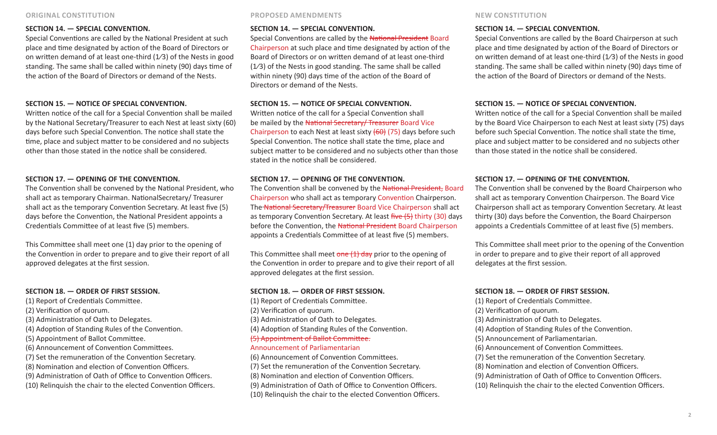# **SECTION 14. — SPECIAL CONVENTION.**

Special Conventions are called by the National President at such place and time designated by action of the Board of Directors or on written demand of at least one-third  $(1/3)$  of the Nests in good standing. The same shall be called within ninety (90) days time of the action of the Board of Directors or demand of the Nests.

# **SECTION 15. — NOTICE OF SPECIAL CONVENTION.**

Written notice of the call for a Special Convention shall be mailed by the National Secretary/Treasurer to each Nest at least sixty (60) days before such Special Convention. The notice shall state the time, place and subject matter to be considered and no subjects other than those stated in the notice shall be considered.

# **SECTION 17. — OPENING OF THE CONVENTION.**

The Convention shall be convened by the National President, who shall act as temporary Chairman. NationalSecretary/ Treasurer shall act as the temporary Convention Secretary. At least five (5) days before the Convention, the National President appoints a Credentials Committee of at least five (5) members.

This Committee shall meet one (1) day prior to the opening of the Convention in order to prepare and to give their report of all approved delegates at the first session.

# **SECTION 18. — ORDER OF FIRST SESSION.**

(1) Report of Credentials Committee. (2) Verification of quorum. (3) Administration of Oath to Delegates. (4) Adoption of Standing Rules of the Convention. (5) Appointment of Ballot Committee. (6) Announcement of Convention Committees. (7) Set the remuneration of the Convention Secretary. (8) Nomination and election of Convention Officers. (9) Administration of Oath of Office to Convention Officers. (10) Relinquish the chair to the elected Convention Officers.

# **SECTION 14. — SPECIAL CONVENTION.**

Special Conventions are called by the National President Board Chairperson at such place and time designated by action of the Board of Directors or on written demand of at least one-third (1⁄3) of the Nests in good standing. The same shall be called within ninety (90) days time of the action of the Board of Directors or demand of the Nests.

# **SECTION 15. — NOTICE OF SPECIAL CONVENTION.**

Written notice of the call for a Special Convention shall be mailed by the National Secretary/ Treasurer Board Vice Chairperson to each Nest at least sixty  $(60)$  (75) days before such Special Convention. The notice shall state the time, place and subject matter to be considered and no subjects other than those stated in the notice shall be considered.

# **SECTION 17. — OPENING OF THE CONVENTION.**

The Convention shall be convened by the National President, Board Chairperson who shall act as temporary Convention Chairperson. The National Secretary/Treasurer Board Vice Chairperson shall act as temporary Convention Secretary. At least five (5) thirty (30) days before the Convention, the National President Board Chairperson appoints a Credentials Committee of at least five (5) members.

This Committee shall meet  $one(1)$  day prior to the opening of the Convention in order to prepare and to give their report of all approved delegates at the first session.

# **SECTION 18. — ORDER OF FIRST SESSION.**

(1) Report of Credentials Committee. (2) Verification of quorum. (3) Administration of Oath to Delegates. (4) Adoption of Standing Rules of the Convention. (5) Appointment of Ballot Committee. Announcement of Parliamentarian (6) Announcement of Convention Committees.

(7) Set the remuneration of the Convention Secretary. (8) Nomination and election of Convention Officers. (9) Administration of Oath of Office to Convention Officers. (10) Relinquish the chair to the elected Convention Officers.

# **SECTION 14. — SPECIAL CONVENTION.**

Special Conventions are called by the Board Chairperson at such place and time designated by action of the Board of Directors or on written demand of at least one-third  $(1/3)$  of the Nests in good standing. The same shall be called within ninety (90) days time of the action of the Board of Directors or demand of the Nests.

# **SECTION 15. — NOTICE OF SPECIAL CONVENTION.**

Written notice of the call for a Special Convention shall be mailed by the Board Vice Chairperson to each Nest at least sixty (75) days before such Special Convention. The notice shall state the time, place and subject matter to be considered and no subjects other than those stated in the notice shall be considered.

# **SECTION 17. — OPENING OF THE CONVENTION.**

The Convention shall be convened by the Board Chairperson who shall act as temporary Convention Chairperson. The Board Vice Chairperson shall act as temporary Convention Secretary. At least thirty (30) days before the Convention, the Board Chairperson appoints a Credentials Committee of at least five (5) members.

This Committee shall meet prior to the opening of the Convention in order to prepare and to give their report of all approved delegates at the first session.

# **SECTION 18. — ORDER OF FIRST SESSION.**

(1) Report of Credentials Committee.

(2) Verification of quorum.

- (3) Administration of Oath to Delegates.
- (4) Adoption of Standing Rules of the Convention.
- (5) Announcement of Parliamentarian.
- (6) Announcement of Convention Committees.
- (7) Set the remuneration of the Convention Secretary.
- (8) Nomination and election of Convention Officers.
- (9) Administration of Oath of Office to Convention Officers.
- (10) Relinquish the chair to the elected Convention Officers.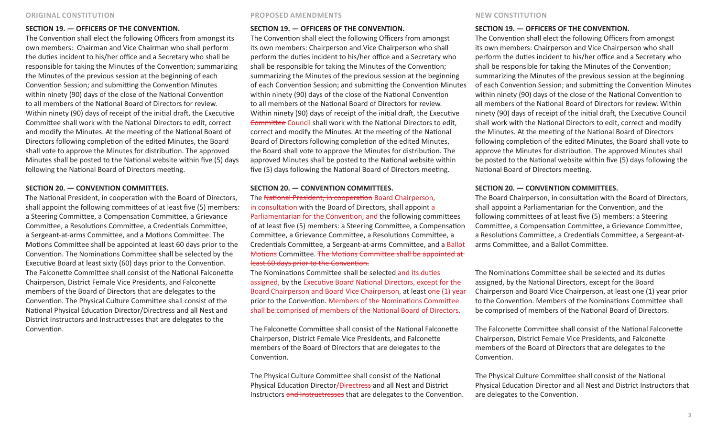# **SECTION 19. — OFFICERS OF THE CONVENTION.**

The Convention shall elect the following Officers from amongst its own members: Chairman and Vice Chairman who shall perform the duties incident to his/her office and a Secretary who shall be responsible for taking the Minutes of the Convention; summarizing the Minutes of the previous session at the beginning of each Convention Session; and submitting the Convention Minutes within ninety (90) days of the close of the National Convention to all members of the National Board of Directors for review. Within ninety (90) days of receipt of the initial draft, the Executive Committee shall work with the National Directors to edit, correct and modify the Minutes. At the meeting of the National Board of Directors following completion of the edited Minutes, the Board shall vote to approve the Minutes for distribution. The approved Minutes shall be posted to the National website within five (5) days following the National Board of Directors meeting.

#### **SECTION 20. — CONVENTION COMMITTEES.**

The National President, in cooperation with the Board of Directors, shall appoint the following committees of at least five (5) members: a Steering Committee, a Compensation Committee, a Grievance Committee, a Resolutions Committee, a Credentials Committee, a Sergeant-at-arms Committee, and a Motions Committee. The Motions Committee shall be appointed at least 60 days prior to the Convention. The Nominations Committee shall be selected by the Executive Board at least sixty (60) days prior to the Convention. The Falconette Committee shall consist of the National Falconette Chairperson, District Female Vice Presidents, and Falconette members of the Board of Directors that are delegates to the Convention. The Physical Culture Committee shall consist of the National Physical Education Director/Directress and all Nest and District Instructors and Instructresses that are delegates to the Convention.

#### **SECTION 19. — OFFICERS OF THE CONVENTION.**

The Convention shall elect the following Officers from amongst its own members: Chairperson and Vice Chairperson who shall perform the duties incident to his/her office and a Secretary who shall be responsible for taking the Minutes of the Convention; summarizing the Minutes of the previous session at the beginning of each Convention Session; and submitting the Convention Minutes within ninety (90) days of the close of the National Convention to all members of the National Board of Directors for review. Within ninety (90) days of receipt of the initial draft, the Executive Committee Council shall work with the National Directors to edit, correct and modify the Minutes. At the meeting of the National Board of Directors following completion of the edited Minutes, the Board shall vote to approve the Minutes for distribution. The approved Minutes shall be posted to the National website within five (5) days following the National Board of Directors meeting.

# **SECTION 20. — CONVENTION COMMITTEES.**

The National President, in cooperation Board Chairperson, in consultation with the Board of Directors, shall appoint a Parliamentarian for the Convention, and the following committees of at least five (5) members: a Steering Committee, a Compensation Committee, a Grievance Committee, a Resolutions Committee, a Credentials Committee, a Sergeant-at-arms Committee, and a Ballot Motions Committee. The Motions Committee shall be appointed at

### least 60 days prior to the Convention.

The Nominations Committee shall be selected and its duties assigned, by the Executive Board National Directors, except for the Board Chairperson and Board Vice Chairperson, at least one (1) year prior to the Convention. Members of the Nominations Committee shall be comprised of members of the National Board of Directors.

The Falconette Committee shall consist of the National Falconette Chairperson, District Female Vice Presidents, and Falconette members of the Board of Directors that are delegates to the Convention.

The Physical Culture Committee shall consist of the National Physical Education Director/Directress and all Nest and District Instructors and Instructresses that are delegates to the Convention.

### **SECTION 19. — OFFICERS OF THE CONVENTION.**

The Convention shall elect the following Officers from amongst its own members: Chairperson and Vice Chairperson who shall perform the duties incident to his/her office and a Secretary who shall be responsible for taking the Minutes of the Convention; summarizing the Minutes of the previous session at the beginning of each Convention Session; and submitting the Convention Minutes within ninety (90) days of the close of the National Convention to all members of the National Board of Directors for review. Within ninety (90) days of receipt of the initial draft, the Executive Council shall work with the National Directors to edit, correct and modify the Minutes. At the meeting of the National Board of Directors following completion of the edited Minutes, the Board shall vote to approve the Minutes for distribution. The approved Minutes shall be posted to the National website within five (5) days following the National Board of Directors meeting.

### **SECTION 20. — CONVENTION COMMITTEES.**

The Board Chairperson, in consultation with the Board of Directors, shall appoint a Parliamentarian for the Convention, and the following committees of at least five (5) members: a Steering Committee, a Compensation Committee, a Grievance Committee, a Resolutions Committee, a Credentials Committee, a Sergeant-atarms Committee, and a Ballot Committee.

The Nominations Committee shall be selected and its duties assigned, by the National Directors, except for the Board Chairperson and Board Vice Chairperson, at least one (1) year prior to the Convention. Members of the Nominations Committee shall be comprised of members of the National Board of Directors.

The Falconette Committee shall consist of the National Falconette Chairperson, District Female Vice Presidents, and Falconette members of the Board of Directors that are delegates to the Convention.

The Physical Culture Committee shall consist of the National Physical Education Director and all Nest and District Instructors that are delegates to the Convention.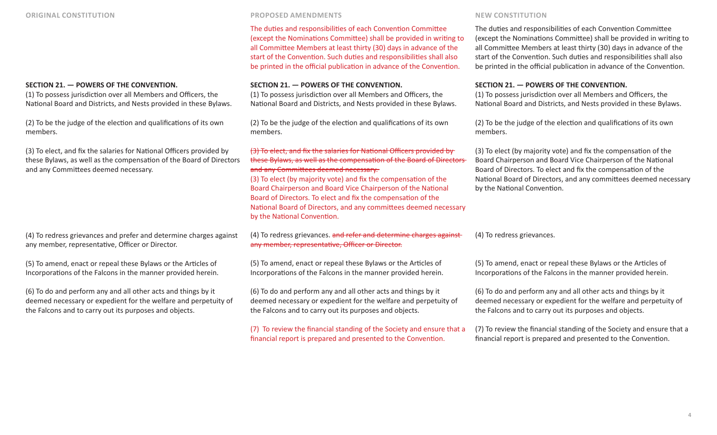### **SECTION 21. — POWERS OF THE CONVENTION.**

(1) To possess jurisdiction over all Members and Officers, the National Board and Districts, and Nests provided in these Bylaws.

(2) To be the judge of the election and qualifications of its own members.

(3) To elect, and fix the salaries for National Officers provided by these Bylaws, as well as the compensation of the Board of Directors and any Committees deemed necessary.

(4) To redress grievances and prefer and determine charges against any member, representative, Officer or Director.

(5) To amend, enact or repeal these Bylaws or the Articles of Incorporations of the Falcons in the manner provided herein.

(6) To do and perform any and all other acts and things by it deemed necessary or expedient for the welfare and perpetuity of the Falcons and to carry out its purposes and objects.

The duties and responsibilities of each Convention Committee (except the Nominations Committee) shall be provided in writing to all Committee Members at least thirty (30) days in advance of the start of the Convention. Such duties and responsibilities shall also be printed in the official publication in advance of the Convention.

#### **SECTION 21. — POWERS OF THE CONVENTION.**

(1) To possess jurisdiction over all Members and Officers, the National Board and Districts, and Nests provided in these Bylaws.

(2) To be the judge of the election and qualifications of its own members.

## (3) To elect, and fix the salaries for National Officers provided by these Bylaws, as well as the compensation of the Board of Directors and any Committees deemed necessary.

(3) To elect (by majority vote) and fix the compensation of the Board Chairperson and Board Vice Chairperson of the National Board of Directors. To elect and fix the compensation of the National Board of Directors, and any committees deemed necessary by the National Convention.

(4) To redress grievances. and refer and determine charges against any member, representative, Officer or Director.

(5) To amend, enact or repeal these Bylaws or the Articles of Incorporations of the Falcons in the manner provided herein.

(6) To do and perform any and all other acts and things by it deemed necessary or expedient for the welfare and perpetuity of the Falcons and to carry out its purposes and objects.

(7) To review the financial standing of the Society and ensure that a financial report is prepared and presented to the Convention.

The duties and responsibilities of each Convention Committee (except the Nominations Committee) shall be provided in writing to all Committee Members at least thirty (30) days in advance of the start of the Convention. Such duties and responsibilities shall also be printed in the official publication in advance of the Convention.

### **SECTION 21. — POWERS OF THE CONVENTION.**

(1) To possess jurisdiction over all Members and Officers, the National Board and Districts, and Nests provided in these Bylaws.

(2) To be the judge of the election and qualifications of its own members.

(3) To elect (by majority vote) and fix the compensation of the Board Chairperson and Board Vice Chairperson of the National Board of Directors. To elect and fix the compensation of the National Board of Directors, and any committees deemed necessary by the National Convention.

(4) To redress grievances.

(5) To amend, enact or repeal these Bylaws or the Articles of Incorporations of the Falcons in the manner provided herein.

(6) To do and perform any and all other acts and things by it deemed necessary or expedient for the welfare and perpetuity of the Falcons and to carry out its purposes and objects.

(7) To review the financial standing of the Society and ensure that a financial report is prepared and presented to the Convention.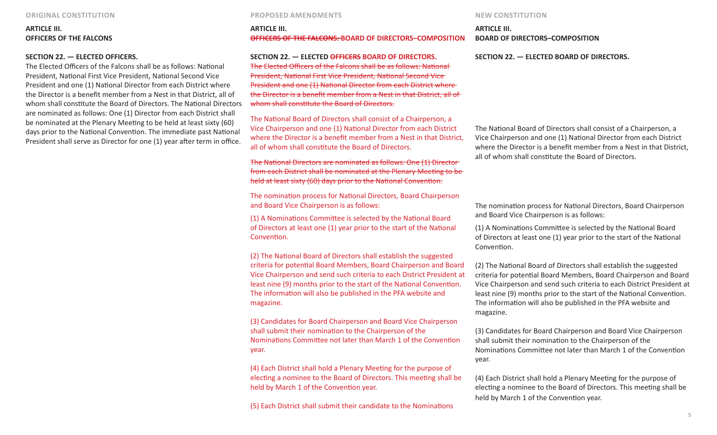# **ARTICLE III. OFFICERS OF THE FALCONS**

### **SECTION 22. — ELECTED OFFICERS.**

The Elected Officers of the Falcons shall be as follows: National President, National First Vice President, National Second Vice President and one (1) National Director from each District where the Director is a benefit member from a Nest in that District, all of whom shall constitute the Board of Directors. The National Directors are nominated as follows: One (1) Director from each District shall be nominated at the Plenary Meeting to be held at least sixty (60) days prior to the National Convention. The immediate past National President shall serve as Director for one (1) year after term in office.

#### **ORIGINAL CONSTITUTION PROPOSED AMENDMENTS NEW CONSTITUTION**

#### **ARTICLE III. OFFICERS OF THE FALCONS. BOARD OF DIRECTORS–COMPOSITION**

**SECTION 22. — ELECTED OFFICERS BOARD OF DIRECTORS.** The Elected Officers of the Falcons shall be as follows: National President, National First Vice President, National Second Vice President and one (1) National Director from each District where the Director is a benefit member from a Nest in that District, all of whom shall constitute the Board of Directors.

The National Board of Directors shall consist of a Chairperson, a Vice Chairperson and one (1) National Director from each District where the Director is a benefit member from a Nest in that District, all of whom shall constitute the Board of Directors.

The National Directors are nominated as follows: One (1) Director from each District shall be nominated at the Plenary Meeting to be held at least sixty (60) days prior to the National Convention.

The nomination process for National Directors, Board Chairperson and Board Vice Chairperson is as follows:

(1) A Nominations Committee is selected by the National Board of Directors at least one (1) year prior to the start of the National Convention.

(2) The National Board of Directors shall establish the suggested criteria for potential Board Members, Board Chairperson and Board Vice Chairperson and send such criteria to each District President at least nine (9) months prior to the start of the National Convention. The information will also be published in the PFA website and magazine.

(3) Candidates for Board Chairperson and Board Vice Chairperson shall submit their nomination to the Chairperson of the Nominations Committee not later than March 1 of the Convention year.

(4) Each District shall hold a Plenary Meeting for the purpose of electing a nominee to the Board of Directors. This meeting shall be held by March 1 of the Convention year.

(5) Each District shall submit their candidate to the Nominations

# **ARTICLE III. BOARD OF DIRECTORS–COMPOSITION**

**SECTION 22. — ELECTED BOARD OF DIRECTORS.** 

The National Board of Directors shall consist of a Chairperson, a Vice Chairperson and one (1) National Director from each District where the Director is a benefit member from a Nest in that District, all of whom shall constitute the Board of Directors.

The nomination process for National Directors, Board Chairperson and Board Vice Chairperson is as follows:

(1) A Nominations Committee is selected by the National Board of Directors at least one (1) year prior to the start of the National Convention.

(2) The National Board of Directors shall establish the suggested criteria for potential Board Members, Board Chairperson and Board Vice Chairperson and send such criteria to each District President at least nine (9) months prior to the start of the National Convention. The information will also be published in the PFA website and magazine.

(3) Candidates for Board Chairperson and Board Vice Chairperson shall submit their nomination to the Chairperson of the Nominations Committee not later than March 1 of the Convention year.

(4) Each District shall hold a Plenary Meeting for the purpose of electing a nominee to the Board of Directors. This meeting shall be held by March 1 of the Convention year.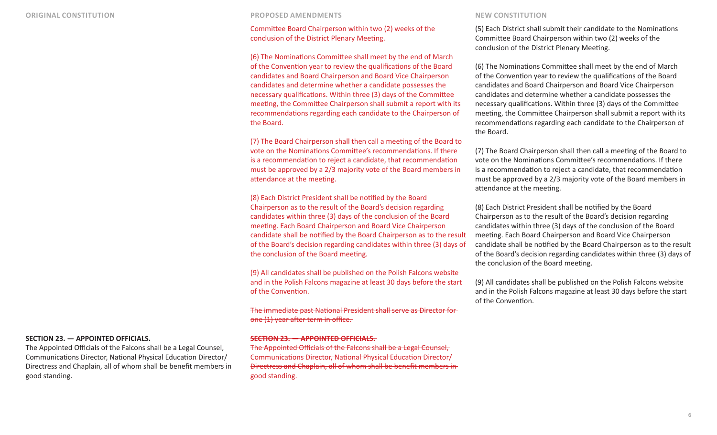# Committee Board Chairperson within two (2) weeks of the conclusion of the District Plenary Meeting.

(6) The Nominations Committee shall meet by the end of March of the Convention year to review the qualifications of the Board candidates and Board Chairperson and Board Vice Chairperson candidates and determine whether a candidate possesses the necessary qualifications. Within three (3) days of the Committee meeting, the Committee Chairperson shall submit a report with its recommendations regarding each candidate to the Chairperson of the Board.

(7) The Board Chairperson shall then call a meeting of the Board to vote on the Nominations Committee's recommendations. If there is a recommendation to reject a candidate, that recommendation must be approved by a 2/3 majority vote of the Board members in attendance at the meeting.

(8) Each District President shall be notified by the Board Chairperson as to the result of the Board's decision regarding candidates within three (3) days of the conclusion of the Board meeting. Each Board Chairperson and Board Vice Chairperson candidate shall be notified by the Board Chairperson as to the result of the Board's decision regarding candidates within three (3) days of the conclusion of the Board meeting.

(9) All candidates shall be published on the Polish Falcons website and in the Polish Falcons magazine at least 30 days before the start of the Convention.

The immediate past National President shall serve as Director for one (1) year after term in office.

#### **SECTION 23. — APPOINTED OFFICIALS.**

The Appointed Officials of the Falcons shall be a Legal Counsel, Communications Director, National Physical Education Director/ Directress and Chaplain, all of whom shall be benefit members in good standing.

(5) Each District shall submit their candidate to the Nominations Committee Board Chairperson within two (2) weeks of the conclusion of the District Plenary Meeting.

(6) The Nominations Committee shall meet by the end of March of the Convention year to review the qualifications of the Board candidates and Board Chairperson and Board Vice Chairperson candidates and determine whether a candidate possesses the necessary qualifications. Within three (3) days of the Committee meeting, the Committee Chairperson shall submit a report with its recommendations regarding each candidate to the Chairperson of the Board.

(7) The Board Chairperson shall then call a meeting of the Board to vote on the Nominations Committee's recommendations. If there is a recommendation to reject a candidate, that recommendation must be approved by a 2/3 majority vote of the Board members in attendance at the meeting.

(8) Each District President shall be notified by the Board Chairperson as to the result of the Board's decision regarding candidates within three (3) days of the conclusion of the Board meeting. Each Board Chairperson and Board Vice Chairperson candidate shall be notified by the Board Chairperson as to the result of the Board's decision regarding candidates within three (3) days of the conclusion of the Board meeting.

(9) All candidates shall be published on the Polish Falcons website and in the Polish Falcons magazine at least 30 days before the start of the Convention.

#### **SECTION 23. — APPOINTED OFFICIALS.**

The Appointed Officials of the Falcons shall be a Legal Counsel, Communications Director, National Physical Education Director/ Directress and Chaplain, all of whom shall be benefit members in good standing.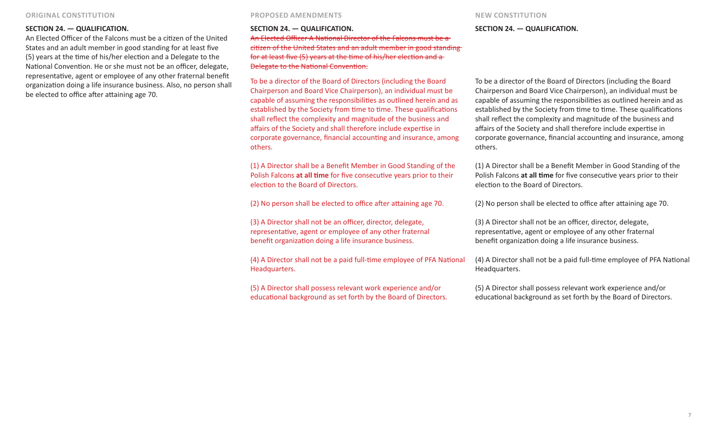### **SECTION 24. — QUALIFICATION.**

An Elected Officer of the Falcons must be a citizen of the United States and an adult member in good standing for at least five (5) years at the time of his/her election and a Delegate to the National Convention. He or she must not be an officer, delegate, representative, agent or employee of any other fraternal benefit organization doing a life insurance business. Also, no person shall be elected to office after attaining age 70.

#### **SECTION 24. — QUALIFICATION.**

An Elected Officer A National Director of the Falcons must be a citizen of the United States and an adult member in good standing for at least five (5) years at the time of his/her election and a Delegate to the National Convention.

To be a director of the Board of Directors (including the Board Chairperson and Board Vice Chairperson), an individual must be capable of assuming the responsibilities as outlined herein and as established by the Society from time to time. These qualifications shall reflect the complexity and magnitude of the business and affairs of the Society and shall therefore include expertise in corporate governance, financial accounting and insurance, among others.

(1) A Director shall be a Benefit Member in Good Standing of the Polish Falcons **at all time** for five consecutive years prior to their election to the Board of Directors.

(2) No person shall be elected to office after attaining age 70.

(3) A Director shall not be an officer, director, delegate, representative, agent or employee of any other fraternal benefit organization doing a life insurance business.

(4) A Director shall not be a paid full-time employee of PFA National Headquarters.

(5) A Director shall possess relevant work experience and/or educational background as set forth by the Board of Directors.

#### **SECTION 24. — QUALIFICATION.**

To be a director of the Board of Directors (including the Board Chairperson and Board Vice Chairperson), an individual must be capable of assuming the responsibilities as outlined herein and as established by the Society from time to time. These qualifications shall reflect the complexity and magnitude of the business and affairs of the Society and shall therefore include expertise in corporate governance, financial accounting and insurance, among others.

(1) A Director shall be a Benefit Member in Good Standing of the Polish Falcons **at all time** for five consecutive years prior to their election to the Board of Directors.

(2) No person shall be elected to office after attaining age 70.

(3) A Director shall not be an officer, director, delegate, representative, agent or employee of any other fraternal benefit organization doing a life insurance business.

(4) A Director shall not be a paid full-time employee of PFA National Headquarters.

(5) A Director shall possess relevant work experience and/or educational background as set forth by the Board of Directors.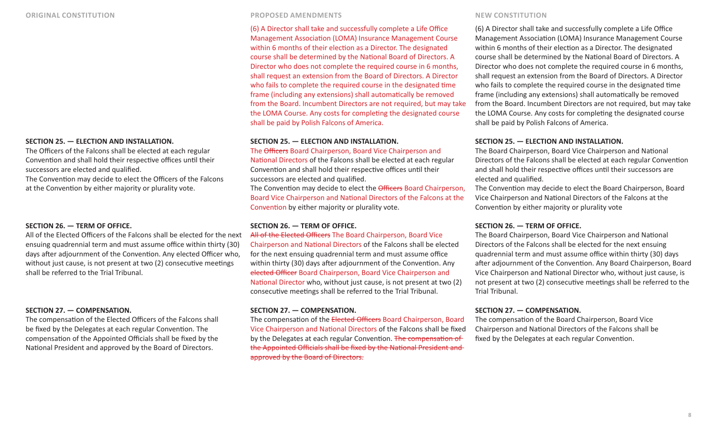# **SECTION 25. — ELECTION AND INSTALLATION.**

The Officers of the Falcons shall be elected at each regular Convention and shall hold their respective offices until their successors are elected and qualified.

The Convention may decide to elect the Officers of the Falcons at the Convention by either majority or plurality vote.

### **SECTION 26. — TERM OF OFFICE.**

All of the Elected Officers of the Falcons shall be elected for the next ensuing quadrennial term and must assume office within thirty (30) days after adjournment of the Convention. Any elected Officer who, without just cause, is not present at two (2) consecutive meetings shall be referred to the Trial Tribunal.

### **SECTION 27. — COMPENSATION.**

The compensation of the Elected Officers of the Falcons shall be fixed by the Delegates at each regular Convention. The compensation of the Appointed Officials shall be fixed by the National President and approved by the Board of Directors.

(6) A Director shall take and successfully complete a Life Office Management Association (LOMA) Insurance Management Course within 6 months of their election as a Director. The designated course shall be determined by the National Board of Directors. A Director who does not complete the required course in 6 months, shall request an extension from the Board of Directors. A Director who fails to complete the required course in the designated time frame (including any extensions) shall automatically be removed from the Board. Incumbent Directors are not required, but may take the LOMA Course. Any costs for completing the designated course shall be paid by Polish Falcons of America.

### **SECTION 25. — ELECTION AND INSTALLATION.**

The Officers Board Chairperson, Board Vice Chairperson and National Directors of the Falcons shall be elected at each regular Convention and shall hold their respective offices until their successors are elected and qualified.

The Convention may decide to elect the Officers Board Chairperson, Board Vice Chairperson and National Directors of the Falcons at the Convention by either majority or plurality vote.

# **SECTION 26. — TERM OF OFFICE.**

All of the Elected Officers The Board Chairperson, Board Vice Chairperson and National Directors of the Falcons shall be elected for the next ensuing quadrennial term and must assume office within thirty (30) days after adjournment of the Convention. Any elected Officer Board Chairperson, Board Vice Chairperson and National Director who, without just cause, is not present at two (2) consecutive meetings shall be referred to the Trial Tribunal.

### **SECTION 27. — COMPENSATION.**

The compensation of the Elected Officers Board Chairperson, Board Vice Chairperson and National Directors of the Falcons shall be fixed by the Delegates at each regular Convention. The compensation of the Appointed Officials shall be fixed by the National President and approved by the Board of Directors.

(6) A Director shall take and successfully complete a Life Office Management Association (LOMA) Insurance Management Course within 6 months of their election as a Director. The designated course shall be determined by the National Board of Directors. A Director who does not complete the required course in 6 months, shall request an extension from the Board of Directors. A Director who fails to complete the required course in the designated time frame (including any extensions) shall automatically be removed from the Board. Incumbent Directors are not required, but may take the LOMA Course. Any costs for completing the designated course shall be paid by Polish Falcons of America.

### **SECTION 25. — ELECTION AND INSTALLATION.**

The Board Chairperson, Board Vice Chairperson and National Directors of the Falcons shall be elected at each regular Convention and shall hold their respective offices until their successors are elected and qualified.

The Convention may decide to elect the Board Chairperson, Board Vice Chairperson and National Directors of the Falcons at the Convention by either majority or plurality vote

### **SECTION 26. — TERM OF OFFICE.**

The Board Chairperson, Board Vice Chairperson and National Directors of the Falcons shall be elected for the next ensuing quadrennial term and must assume office within thirty (30) days after adjournment of the Convention. Any Board Chairperson, Board Vice Chairperson and National Director who, without just cause, is not present at two (2) consecutive meetings shall be referred to the Trial Tribunal.

# **SECTION 27. — COMPENSATION.**

The compensation of the Board Chairperson, Board Vice Chairperson and National Directors of the Falcons shall be fixed by the Delegates at each regular Convention.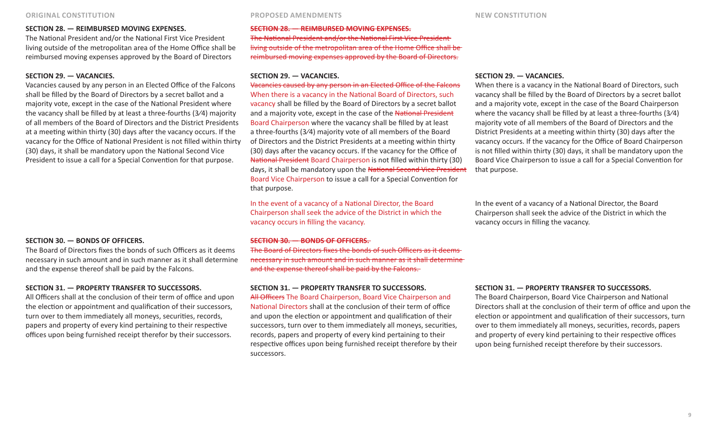# **SECTION 28. — REIMBURSED MOVING EXPENSES.**

The National President and/or the National First Vice President living outside of the metropolitan area of the Home Office shall be reimbursed moving expenses approved by the Board of Directors

### **SECTION 29. — VACANCIES.**

Vacancies caused by any person in an Elected Office of the Falcons shall be filled by the Board of Directors by a secret ballot and a majority vote, except in the case of the National President where the vacancy shall be filled by at least a three-fourths (3⁄4) majority of all members of the Board of Directors and the District Presidents at a meeting within thirty (30) days after the vacancy occurs. If the vacancy for the Office of National President is not filled within thirty (30) days, it shall be mandatory upon the National Second Vice President to issue a call for a Special Convention for that purpose.

### **SECTION 30. — BONDS OF OFFICERS.**

The Board of Directors fixes the bonds of such Officers as it deems necessary in such amount and in such manner as it shall determine and the expense thereof shall be paid by the Falcons.

#### **SECTION 31. — PROPERTY TRANSFER TO SUCCESSORS.**

All Officers shall at the conclusion of their term of office and upon the election or appointment and qualification of their successors, turn over to them immediately all moneys, securities, records, papers and property of every kind pertaining to their respective offices upon being furnished receipt therefor by their successors.

### **SECTION 28. — REIMBURSED MOVING EXPENSES.**

The National President and/or the National First Vice President living outside of the metropolitan area of the Home Office shall be reimbursed moving expenses approved by the Board of Directors.

### **SECTION 29. — VACANCIES.**

Vacancies caused by any person in an Elected Office of the Falcons When there is a vacancy in the National Board of Directors, such vacancy shall be filled by the Board of Directors by a secret ballot and a majority vote, except in the case of the National President Board Chairperson where the vacancy shall be filled by at least a three-fourths (3⁄4) majority vote of all members of the Board of Directors and the District Presidents at a meeting within thirty (30) days after the vacancy occurs. If the vacancy for the Office of National President Board Chairperson is not filled within thirty (30) days, it shall be mandatory upon the National Second Vice President Board Vice Chairperson to issue a call for a Special Convention for that purpose.

In the event of a vacancy of a National Director, the Board Chairperson shall seek the advice of the District in which the vacancy occurs in filling the vacancy.

#### **SECTION 30. — BONDS OF OFFICERS.**

The Board of Directors fixes the bonds of such Officers as it deems necessary in such amount and in such manner as it shall determine and the expense thereof shall be paid by the Falcons.

## **SECTION 31. — PROPERTY TRANSFER TO SUCCESSORS.**

All Officers The Board Chairperson, Board Vice Chairperson and National Directors shall at the conclusion of their term of office and upon the election or appointment and qualification of their successors, turn over to them immediately all moneys, securities, records, papers and property of every kind pertaining to their respective offices upon being furnished receipt therefore by their successors.

#### **SECTION 29. — VACANCIES.**

When there is a vacancy in the National Board of Directors, such vacancy shall be filled by the Board of Directors by a secret ballot and a majority vote, except in the case of the Board Chairperson where the vacancy shall be filled by at least a three-fourths (3⁄4) majority vote of all members of the Board of Directors and the District Presidents at a meeting within thirty (30) days after the vacancy occurs. If the vacancy for the Office of Board Chairperson is not filled within thirty (30) days, it shall be mandatory upon the Board Vice Chairperson to issue a call for a Special Convention for that purpose.

In the event of a vacancy of a National Director, the Board Chairperson shall seek the advice of the District in which the vacancy occurs in filling the vacancy.

#### **SECTION 31. — PROPERTY TRANSFER TO SUCCESSORS.**

The Board Chairperson, Board Vice Chairperson and National Directors shall at the conclusion of their term of office and upon the election or appointment and qualification of their successors, turn over to them immediately all moneys, securities, records, papers and property of every kind pertaining to their respective offices upon being furnished receipt therefore by their successors.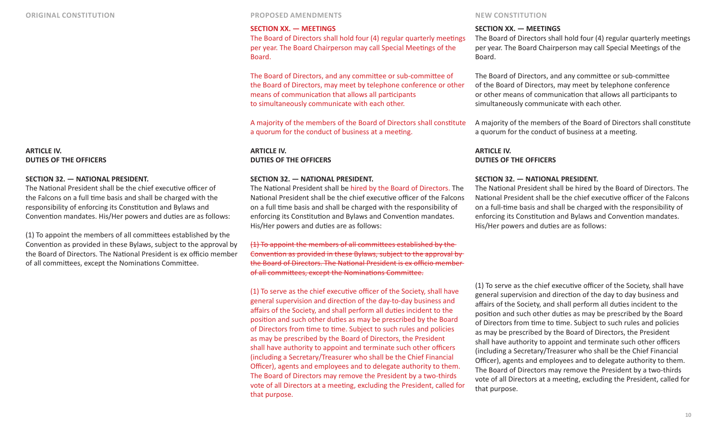### **ARTICLE IV. DUTIES OF THE OFFICERS**

### **SECTION 32. — NATIONAL PRESIDENT.**

The National President shall be the chief executive officer of the Falcons on a full time basis and shall be charged with the responsibility of enforcing its Constitution and Bylaws and Convention mandates. His/Her powers and duties are as follows:

(1) To appoint the members of all committees established by the Convention as provided in these Bylaws, subject to the approval by the Board of Directors. The National President is ex officio member of all committees, except the Nominations Committee.

### **SECTION XX. — MEETINGS**

The Board of Directors shall hold four (4) regular quarterly meetings per year. The Board Chairperson may call Special Meetings of the Board.

The Board of Directors, and any committee or sub-committee of the Board of Directors, may meet by telephone conference or other means of communication that allows all participants to simultaneously communicate with each other.

A majority of the members of the Board of Directors shall constitute a quorum for the conduct of business at a meeting.

**ARTICLE IV. DUTIES OF THE OFFICERS**

### **SECTION 32. — NATIONAL PRESIDENT.**

The National President shall be hired by the Board of Directors. The National President shall be the chief executive officer of the Falcons on a full time basis and shall be charged with the responsibility of enforcing its Constitution and Bylaws and Convention mandates. His/Her powers and duties are as follows:

(1) To appoint the members of all committees established by the Convention as provided in these Bylaws, subject to the approval by the Board of Directors. The National President is ex officio member of all committees, except the Nominations Committee.

(1) To serve as the chief executive officer of the Society, shall have general supervision and direction of the day-to-day business and affairs of the Society, and shall perform all duties incident to the position and such other duties as may be prescribed by the Board of Directors from time to time. Subject to such rules and policies as may be prescribed by the Board of Directors, the President shall have authority to appoint and terminate such other officers (including a Secretary/Treasurer who shall be the Chief Financial Officer), agents and employees and to delegate authority to them. The Board of Directors may remove the President by a two-thirds vote of all Directors at a meeting, excluding the President, called for that purpose.

#### **SECTION XX. — MEETINGS**

The Board of Directors shall hold four (4) regular quarterly meetings per year. The Board Chairperson may call Special Meetings of the Board.

The Board of Directors, and any committee or sub-committee of the Board of Directors, may meet by telephone conference or other means of communication that allows all participants to simultaneously communicate with each other.

A majority of the members of the Board of Directors shall constitute a quorum for the conduct of business at a meeting.

# **ARTICLE IV. DUTIES OF THE OFFICERS**

### **SECTION 32. — NATIONAL PRESIDENT.**

The National President shall be hired by the Board of Directors. The National President shall be the chief executive officer of the Falcons on a full-time basis and shall be charged with the responsibility of enforcing its Constitution and Bylaws and Convention mandates. His/Her powers and duties are as follows:

(1) To serve as the chief executive officer of the Society, shall have general supervision and direction of the day to day business and affairs of the Society, and shall perform all duties incident to the position and such other duties as may be prescribed by the Board of Directors from time to time. Subject to such rules and policies as may be prescribed by the Board of Directors, the President shall have authority to appoint and terminate such other officers (including a Secretary/Treasurer who shall be the Chief Financial Officer), agents and employees and to delegate authority to them. The Board of Directors may remove the President by a two-thirds vote of all Directors at a meeting, excluding the President, called for that purpose.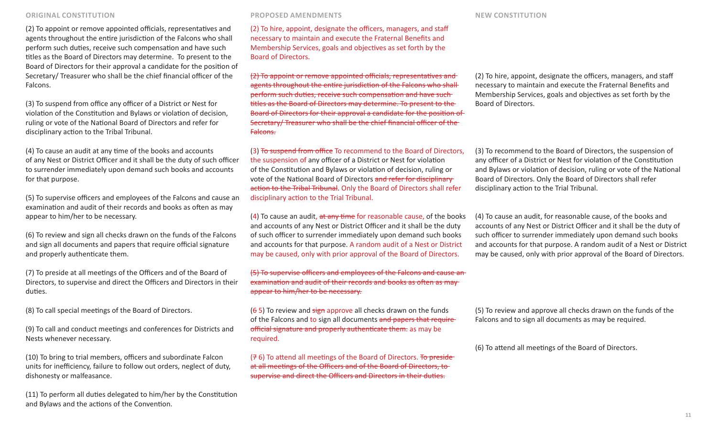(2) To appoint or remove appointed officials, representatives and agents throughout the entire jurisdiction of the Falcons who shall perform such duties, receive such compensation and have such titles as the Board of Directors may determine. To present to the Board of Directors for their approval a candidate for the position of Secretary/ Treasurer who shall be the chief financial officer of the Falcons.

(3) To suspend from office any officer of a District or Nest for violation of the Constitution and Bylaws or violation of decision, ruling or vote of the National Board of Directors and refer for disciplinary action to the Tribal Tribunal.

(4) To cause an audit at any time of the books and accounts of any Nest or District Officer and it shall be the duty of such officer to surrender immediately upon demand such books and accounts for that purpose.

(5) To supervise officers and employees of the Falcons and cause an examination and audit of their records and books as often as may appear to him/her to be necessary.

(6) To review and sign all checks drawn on the funds of the Falcons and sign all documents and papers that require official signature and properly authenticate them.

(7) To preside at all meetings of the Officers and of the Board of Directors, to supervise and direct the Officers and Directors in their duties.

(8) To call special meetings of the Board of Directors.

(9) To call and conduct meetings and conferences for Districts and Nests whenever necessary.

(10) To bring to trial members, officers and subordinate Falcon units for inefficiency, failure to follow out orders, neglect of duty, dishonesty or malfeasance.

(11) To perform all duties delegated to him/her by the Constitution and Bylaws and the actions of the Convention.

(2) To hire, appoint, designate the officers, managers, and staff necessary to maintain and execute the Fraternal Benefits and Membership Services, goals and objectives as set forth by the Board of Directors.

(2) To appoint or remove appointed officials, representatives and agents throughout the entire jurisdiction of the Falcons who shall perform such duties, receive such compensation and have such titles as the Board of Directors may determine. To present to the Board of Directors for their approval a candidate for the position of Secretary/ Treasurer who shall be the chief financial officer of the Falcons.

(3) To suspend from office To recommend to the Board of Directors, the suspension of any officer of a District or Nest for violation of the Constitution and Bylaws or violation of decision, ruling or vote of the National Board of Directors and refer for disciplinary action to the Tribal Tribunal. Only the Board of Directors shall refer disciplinary action to the Trial Tribunal.

 $(4)$  To cause an audit, at any time for reasonable cause, of the books and accounts of any Nest or District Officer and it shall be the duty of such officer to surrender immediately upon demand such books and accounts for that purpose. A random audit of a Nest or District may be caused, only with prior approval of the Board of Directors.

(5) To supervise officers and employees of the Falcons and cause an examination and audit of their records and books as often as may appear to him/her to be necessary.

 $(65)$  To review and sign approve all checks drawn on the funds of the Falcons and to sign all documents and papers that requireofficial signature and properly authenticate them. as may be required.

 $(76)$  To attend all meetings of the Board of Directors. To presideat all meetings of the Officers and of the Board of Directors, to supervise and direct the Officers and Directors in their duties.

(2) To hire, appoint, designate the officers, managers, and staff necessary to maintain and execute the Fraternal Benefits and Membership Services, goals and objectives as set forth by the Board of Directors.

(3) To recommend to the Board of Directors, the suspension of any officer of a District or Nest for violation of the Constitution and Bylaws or violation of decision, ruling or vote of the National Board of Directors. Only the Board of Directors shall refer disciplinary action to the Trial Tribunal.

(4) To cause an audit, for reasonable cause, of the books and accounts of any Nest or District Officer and it shall be the duty of such officer to surrender immediately upon demand such books and accounts for that purpose. A random audit of a Nest or District may be caused, only with prior approval of the Board of Directors.

(5) To review and approve all checks drawn on the funds of the Falcons and to sign all documents as may be required.

(6) To attend all meetings of the Board of Directors.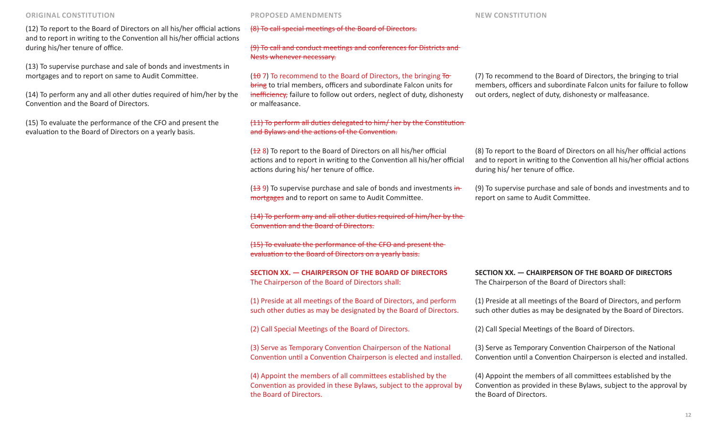(12) To report to the Board of Directors on all his/her official actions and to report in writing to the Convention all his/her official actions during his/her tenure of office.

(13) To supervise purchase and sale of bonds and investments in mortgages and to report on same to Audit Committee.

(14) To perform any and all other duties required of him/her by the Convention and the Board of Directors.

(15) To evaluate the performance of the CFO and present the evaluation to the Board of Directors on a yearly basis.

(8) To call special meetings of the Board of Directors.

# (9) To call and conduct meetings and conferences for Districts and Nests whenever necessary.

 $(10, 7)$  To recommend to the Board of Directors, the bringing  $To$ bring to trial members, officers and subordinate Falcon units for inefficiency, failure to follow out orders, neglect of duty, dishonesty or malfeasance.

# (11) To perform all duties delegated to him/ her by the Constitution and Bylaws and the actions of the Convention.

(128) To report to the Board of Directors on all his/her official actions and to report in writing to the Convention all his/her official actions during his/ her tenure of office.

 $(139)$  To supervise purchase and sale of bonds and investments in mortgages and to report on same to Audit Committee.

(14) To perform any and all other duties required of him/her by the Convention and the Board of Directors.

(15) To evaluate the performance of the CFO and present the evaluation to the Board of Directors on a yearly basis.

**SECTION XX. — CHAIRPERSON OF THE BOARD OF DIRECTORS**  The Chairperson of the Board of Directors shall:

(1) Preside at all meetings of the Board of Directors, and perform such other duties as may be designated by the Board of Directors.

(2) Call Special Meetings of the Board of Directors.

(3) Serve as Temporary Convention Chairperson of the National Convention until a Convention Chairperson is elected and installed.

(4) Appoint the members of all committees established by the Convention as provided in these Bylaws, subject to the approval by the Board of Directors.

(7) To recommend to the Board of Directors, the bringing to trial members, officers and subordinate Falcon units for failure to follow out orders, neglect of duty, dishonesty or malfeasance.

(8) To report to the Board of Directors on all his/her official actions and to report in writing to the Convention all his/her official actions during his/ her tenure of office.

(9) To supervise purchase and sale of bonds and investments and to report on same to Audit Committee.

**SECTION XX. — CHAIRPERSON OF THE BOARD OF DIRECTORS**  The Chairperson of the Board of Directors shall:

(1) Preside at all meetings of the Board of Directors, and perform such other duties as may be designated by the Board of Directors.

(2) Call Special Meetings of the Board of Directors.

(3) Serve as Temporary Convention Chairperson of the National Convention until a Convention Chairperson is elected and installed.

(4) Appoint the members of all committees established by the Convention as provided in these Bylaws, subject to the approval by the Board of Directors.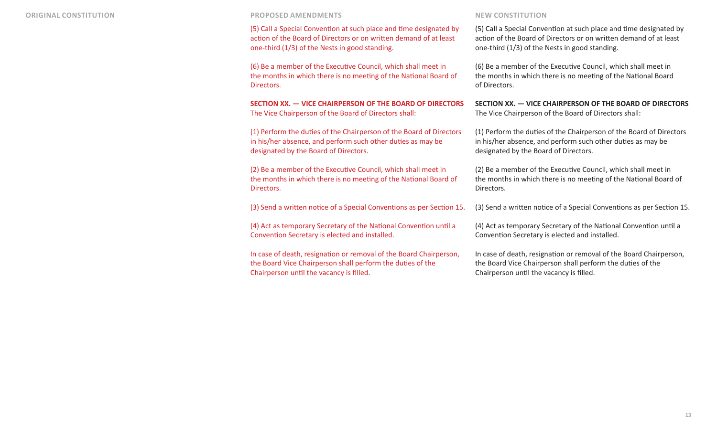(5) Call a Special Convention at such place and time designated by action of the Board of Directors or on written demand of at least one-third (1/3) of the Nests in good standing.

(6) Be a member of the Executive Council, which shall meet in the months in which there is no meeting of the National Board of Directors.

**SECTION XX. — VICE CHAIRPERSON OF THE BOARD OF DIRECTORS**  The Vice Chairperson of the Board of Directors shall:

(1) Perform the duties of the Chairperson of the Board of Directors in his/her absence, and perform such other duties as may be designated by the Board of Directors.

(2) Be a member of the Executive Council, which shall meet in the months in which there is no meeting of the National Board of Directors.

(3) Send a written notice of a Special Conventions as per Section 15.

(4) Act as temporary Secretary of the National Convention until a Convention Secretary is elected and installed.

In case of death, resignation or removal of the Board Chairperson, the Board Vice Chairperson shall perform the duties of the Chairperson until the vacancy is filled.

(5) Call a Special Convention at such place and time designated by action of the Board of Directors or on written demand of at least one-third (1/3) of the Nests in good standing.

(6) Be a member of the Executive Council, which shall meet in the months in which there is no meeting of the National Board of Directors.

**SECTION XX. — VICE CHAIRPERSON OF THE BOARD OF DIRECTORS**  The Vice Chairperson of the Board of Directors shall:

(1) Perform the duties of the Chairperson of the Board of Directors in his/her absence, and perform such other duties as may be designated by the Board of Directors.

(2) Be a member of the Executive Council, which shall meet in the months in which there is no meeting of the National Board of Directors.

(3) Send a written notice of a Special Conventions as per Section 15.

(4) Act as temporary Secretary of the National Convention until a Convention Secretary is elected and installed.

In case of death, resignation or removal of the Board Chairperson, the Board Vice Chairperson shall perform the duties of the Chairperson until the vacancy is filled.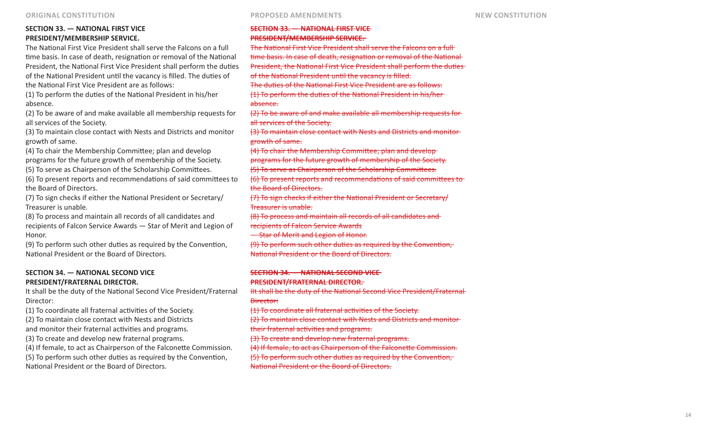# **SECTION 33. — NATIONAL FIRST VICE PRESIDENT/MEMBERSHIP SERVICE.**

The National First Vice President shall serve the Falcons on a full time basis. In case of death, resignation or removal of the National President, the National First Vice President shall perform the duties of the National President until the vacancy is filled. The duties of the National First Vice President are as follows:

(1) To perform the duties of the National President in his/her absence.

(2) To be aware of and make available all membership requests for all services of the Society.

(3) To maintain close contact with Nests and Districts and monitor growth of same.

(4) To chair the Membership Committee; plan and develop programs for the future growth of membership of the Society.

(5) To serve as Chairperson of the Scholarship Committees.

(6) To present reports and recommendations of said committees to the Board of Directors.

(7) To sign checks if either the National President or Secretary/ Treasurer is unable.

(8) To process and maintain all records of all candidates and recipients of Falcon Service Awards — Star of Merit and Legion of Honor.

(9) To perform such other duties as required by the Convention, National President or the Board of Directors.

## **SECTION 34. — NATIONAL SECOND VICE PRESIDENT/FRATERNAL DIRECTOR.**

It shall be the duty of the National Second Vice President/Fraternal Director:

(1) To coordinate all fraternal activities of the Society. (2) To maintain close contact with Nests and Districts and monitor their fraternal activities and programs. (3) To create and develop new fraternal programs. (4) If female, to act as Chairperson of the Falconette Commission.

(5) To perform such other duties as required by the Convention, National President or the Board of Directors.

# **SECTION 33. — NATIONAL FIRST VICE PRESIDENT/MEMBERSHIP SERVICE.**  The National First Vice President shall serve the Falcons on a full time basis. In case of death, resignation or removal of the National President, the National First Vice President shall perform the duties of the National President until the vacancy is filled. The duties of the National First Vice President are as follows: (1) To perform the duties of the National President in his/her absence. (2) To be aware of and make available all membership requests for all services of the Society.

(3) To maintain close contact with Nests and Districts and monitor growth of same.

(4) To chair the Membership Committee; plan and develop

programs for the future growth of membership of the Society.

(5) To serve as Chairperson of the Scholarship Committees.

(6) To present reports and recommendations of said committees to the Board of Directors.

(7) To sign checks if either the National President or Secretary/ Treasurer is unable.

(8) To process and maintain all records of all candidates and

recipients of Falcon Service Awards

— Star of Merit and Legion of Honor.

(9) To perform such other duties as required by the Convention, National President or the Board of Directors.

# **SECTION 34. — NATIONAL SECOND VICE PRESIDENT/FRATERNAL DIRECTOR.**

IIt shall be the duty of the National Second Vice President/Fraternal Director:

(1) To coordinate all fraternal activities of the Society.

(2) To maintain close contact with Nests and Districts and monitor their fraternal activities and programs.

(3) To create and develop new fraternal programs.

(4) If female, to act as Chairperson of the Falconette Commission. (5) To perform such other duties as required by the Convention, National President or the Board of Directors.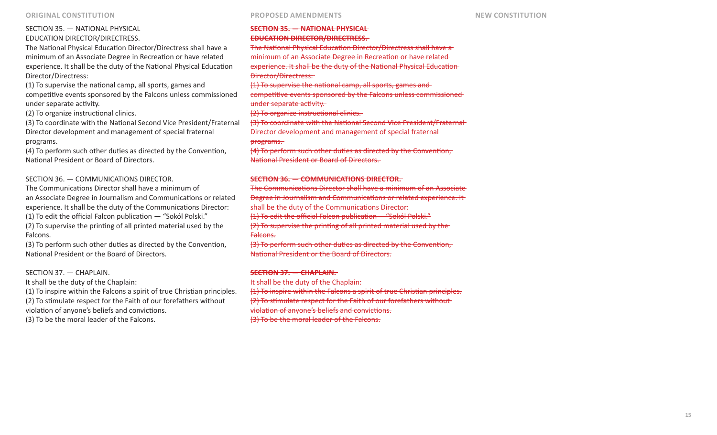# SECTION 35. — NATIONAL PHYSICAL EDUCATION DIRECTOR/DIRECTRESS.

The National Physical Education Director/Directress shall have a minimum of an Associate Degree in Recreation or have related experience. It shall be the duty of the National Physical Education Director/Directress:

(1) To supervise the national camp, all sports, games and competitive events sponsored by the Falcons unless commissioned under separate activity.

(2) To organize instructional clinics.

(3) To coordinate with the National Second Vice President/Fraternal Director development and management of special fraternal programs.

(4) To perform such other duties as directed by the Convention, National President or Board of Directors.

# SECTION 36. — COMMUNICATIONS DIRECTOR.

The Communications Director shall have a minimum of an Associate Degree in Journalism and Communications or related experience. It shall be the duty of the Communications Director: (1) To edit the official Falcon publication — "Sokól Polski." (2) To supervise the printing of all printed material used by the Falcons.

(3) To perform such other duties as directed by the Convention, National President or the Board of Directors.

SECTION 37. — CHAPLAIN.

It shall be the duty of the Chaplain:

(1) To inspire within the Falcons a spirit of true Christian principles. (2) To stimulate respect for the Faith of our forefathers without violation of anyone's beliefs and convictions. (3) To be the moral leader of the Falcons.

# **SECTION 35. — NATIONAL PHYSICAL EDUCATION DIRECTOR/DIRECTRESS.**  The National Physical Education Director/Directress shall have a

minimum of an Associate Degree in Recreation or have related experience. It shall be the duty of the National Physical Education Director/Directress:

(1) To supervise the national camp, all sports, games and

competitive events sponsored by the Falcons unless commissioned under separate activity.

(2) To organize instructional clinics.

(3) To coordinate with the National Second Vice President/Fraternal Director development and management of special fraternal programs.

(4) To perform such other duties as directed by the Convention, National President or Board of Directors.

## **SECTION 36. — COMMUNICATIONS DIRECTOR.**

The Communications Director shall have a minimum of an Associate Degree in Journalism and Communications or related experience. It shall be the duty of the Communications Director: (1) To edit the official Falcon publication —"Sokól Polski." (2) To supervise the printing of all printed material used by the Falcons.

(3) To perform such other duties as directed by the Convention, National President or the Board of Directors.

# **SECTION 37. — CHAPLAIN.**

It shall be the duty of the Chaplain: (1) To inspire within the Falcons a spirit of true Christian principles. (2) To stimulate respect for the Faith of our forefathers without violation of anyone's beliefs and convictions. (3) To be the moral leader of the Falcons.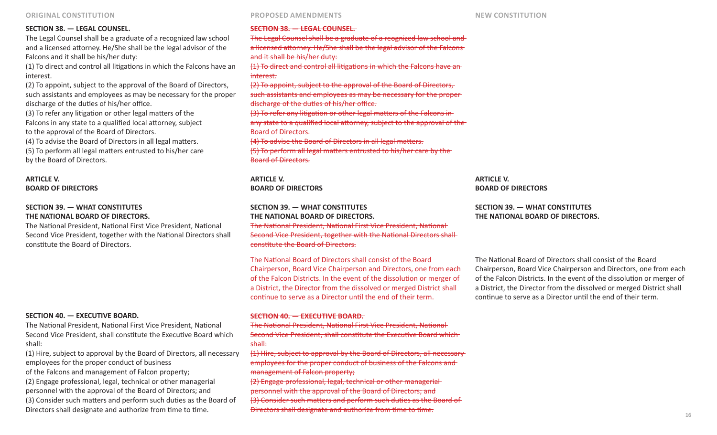### **SECTION 38. — LEGAL COUNSEL.**

The Legal Counsel shall be a graduate of a recognized law school and a licensed attorney. He/She shall be the legal advisor of the Falcons and it shall be his/her duty:

(1) To direct and control all litigations in which the Falcons have an interest.

(2) To appoint, subject to the approval of the Board of Directors, such assistants and employees as may be necessary for the proper discharge of the duties of his/her office.

(3) To refer any litigation or other legal matters of the Falcons in any state to a qualified local attorney, subject to the approval of the Board of Directors.

(4) To advise the Board of Directors in all legal matters. (5) To perform all legal matters entrusted to his/her care by the Board of Directors.

### **ARTICLE V. BOARD OF DIRECTORS**

## **SECTION 39. — WHAT CONSTITUTES THE NATIONAL BOARD OF DIRECTORS.**

The National President, National First Vice President, National Second Vice President, together with the National Directors shall constitute the Board of Directors.

### **SECTION 40. — EXECUTIVE BOARD.**

The National President, National First Vice President, National Second Vice President, shall constitute the Executive Board which shall:

(1) Hire, subject to approval by the Board of Directors, all necessary employees for the proper conduct of business of the Falcons and management of Falcon property; (2) Engage professional, legal, technical or other managerial personnel with the approval of the Board of Directors; and (3) Consider such matters and perform such duties as the Board of Directors shall designate and authorize from time to time.

#### **SECTION 38. — LEGAL COUNSEL.**

The Legal Counsel shall be a graduate of a reognized law school and a licensed attorney. He/She shall be the legal advisor of the Falcons and it shall be his/her duty: (1) To direct and control all litigations in which the Falcons have an interest. (2) To appoint, subject to the approval of the Board of Directors, such assistants and employees as may be necessary for the proper discharge of the duties of his/her office. (3) To refer any litigation or other legal matters of the Falcons in any state to a qualified local attorney, subject to the approval of the

Board of Directors.

(4) To advise the Board of Directors in all legal matters.

(5) To perform all legal matters entrusted to his/her care by the Board of Directors.

**ARTICLE V. BOARD OF DIRECTORS**

### **SECTION 39. — WHAT CONSTITUTES THE NATIONAL BOARD OF DIRECTORS.**

The National President, National First Vice President, National Second Vice President, together with the National Directors shall constitute the Board of Directors.

The National Board of Directors shall consist of the Board Chairperson, Board Vice Chairperson and Directors, one from each of the Falcon Districts. In the event of the dissolution or merger of a District, the Director from the dissolved or merged District shall continue to serve as a Director until the end of their term.

### **SECTION 40. — EXECUTIVE BOARD.**

The National President, National First Vice President, National Second Vice President, shall constitute the Executive Board which shall:

(1) Hire, subject to approval by the Board of Directors, all necessary employees for the proper conduct of business of the Falcons and management of Falcon property;

(2) Engage professional, legal, technical or other managerial personnel with the approval of the Board of Directors; and (3) Consider such matters and perform such duties as the Board of Directors shall designate and authorize from time to time.

**ARTICLE V. BOARD OF DIRECTORS** 

# **SECTION 39. — WHAT CONSTITUTES THE NATIONAL BOARD OF DIRECTORS.**

The National Board of Directors shall consist of the Board Chairperson, Board Vice Chairperson and Directors, one from each of the Falcon Districts. In the event of the dissolution or merger of a District, the Director from the dissolved or merged District shall continue to serve as a Director until the end of their term.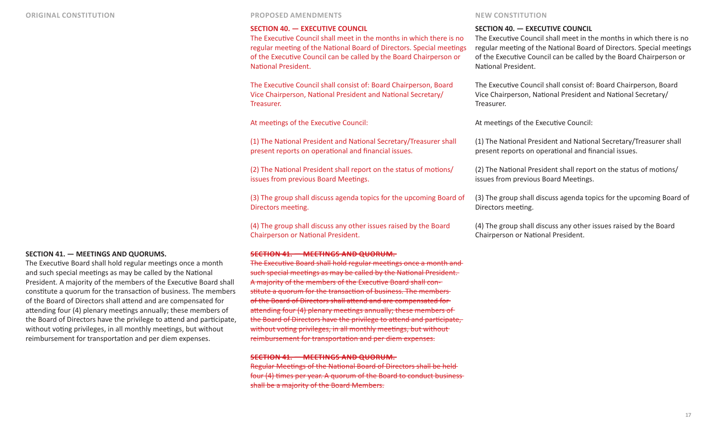#### **SECTION 40. — EXECUTIVE COUNCIL**

The Executive Council shall meet in the months in which there is no regular meeting of the National Board of Directors. Special meetings of the Executive Council can be called by the Board Chairperson or National President.

The Executive Council shall consist of: Board Chairperson, Board Vice Chairperson, National President and National Secretary/ Treasurer.

At meetings of the Executive Council:

(1) The National President and National Secretary/Treasurer shall present reports on operational and financial issues.

(2) The National President shall report on the status of motions/ issues from previous Board Meetings.

(3) The group shall discuss agenda topics for the upcoming Board of Directors meeting.

(4) The group shall discuss any other issues raised by the Board Chairperson or National President.

### **SECTION 41. — MEETINGS AND QUORUM.**

The Executive Board shall hold regular meetings once a month and such special meetings as may be called by the National President. A majority of the members of the Executive Board shall constitute a quorum for the transaction of business. The members of the Board of Directors shall attend and are compensated for attending four (4) plenary meetings annually; these members of the Board of Directors have the privilege to attend and participate, without voting privileges, in all monthly meetings, but without reimbursement for transportation and per diem expenses.

### **SECTION 41. — MEETINGS AND QUORUM.**

Regular Meetings of the National Board of Directors shall be held four (4) times per year. A quorum of the Board to conduct business shall be a majority of the Board Members.

### **SECTION 40. — EXECUTIVE COUNCIL**

The Executive Council shall meet in the months in which there is no regular meeting of the National Board of Directors. Special meetings of the Executive Council can be called by the Board Chairperson or National President.

The Executive Council shall consist of: Board Chairperson, Board Vice Chairperson, National President and National Secretary/ Treasurer.

At meetings of the Executive Council:

(1) The National President and National Secretary/Treasurer shall present reports on operational and financial issues.

(2) The National President shall report on the status of motions/ issues from previous Board Meetings.

(3) The group shall discuss agenda topics for the upcoming Board of Directors meeting.

(4) The group shall discuss any other issues raised by the Board Chairperson or National President.

#### **SECTION 41. — MEETINGS AND QUORUMS.**

The Executive Board shall hold regular meetings once a month and such special meetings as may be called by the National President. A majority of the members of the Executive Board shall constitute a quorum for the transaction of business. The members of the Board of Directors shall attend and are compensated for attending four (4) plenary meetings annually; these members of the Board of Directors have the privilege to attend and participate, without voting privileges, in all monthly meetings, but without reimbursement for transportation and per diem expenses.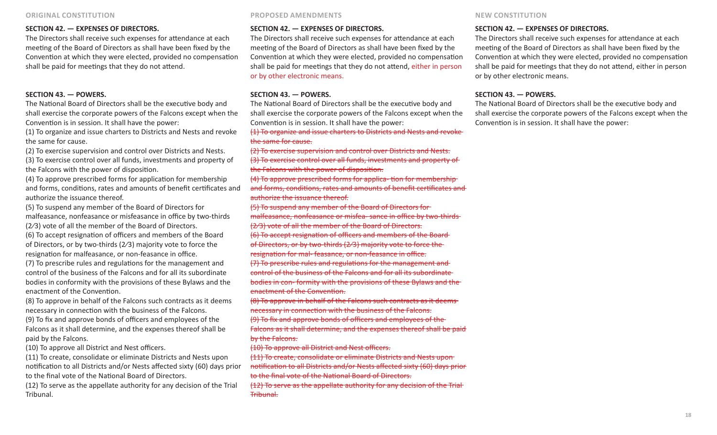# **SECTION 42. — EXPENSES OF DIRECTORS.**

The Directors shall receive such expenses for attendance at each meeting of the Board of Directors as shall have been fixed by the Convention at which they were elected, provided no compensation shall be paid for meetings that they do not attend.

# **SECTION 43. — POWERS.**

The National Board of Directors shall be the executive body and shall exercise the corporate powers of the Falcons except when the Convention is in session. It shall have the power:

(1) To organize and issue charters to Districts and Nests and revoke the same for cause.

(2) To exercise supervision and control over Districts and Nests. (3) To exercise control over all funds, investments and property of the Falcons with the power of disposition.

(4) To approve prescribed forms for application for membership and forms, conditions, rates and amounts of benefit certificates and authorize the issuance thereof.

(5) To suspend any member of the Board of Directors for malfeasance, nonfeasance or misfeasance in office by two-thirds

(2⁄3) vote of all the member of the Board of Directors.

(6) To accept resignation of officers and members of the Board of Directors, or by two-thirds (2⁄3) majority vote to force the resignation for malfeasance, or non-feasance in office.

(7) To prescribe rules and regulations for the management and control of the business of the Falcons and for all its subordinate bodies in conformity with the provisions of these Bylaws and the enactment of the Convention.

(8) To approve in behalf of the Falcons such contracts as it deems necessary in connection with the business of the Falcons.

(9) To fix and approve bonds of officers and employees of the Falcons as it shall determine, and the expenses thereof shall be paid by the Falcons.

(10) To approve all District and Nest officers.

(11) To create, consolidate or eliminate Districts and Nests upon notification to all Districts and/or Nests affected sixty (60) days prior to the final vote of the National Board of Directors.

(12) To serve as the appellate authority for any decision of the Trial Tribunal.

# **SECTION 42. — EXPENSES OF DIRECTORS.**

The Directors shall receive such expenses for attendance at each meeting of the Board of Directors as shall have been fixed by the Convention at which they were elected, provided no compensation shall be paid for meetings that they do not attend, either in person or by other electronic means.

# **SECTION 43. — POWERS.**

The National Board of Directors shall be the executive body and shall exercise the corporate powers of the Falcons except when the Convention is in session. It shall have the power:

(1) To organize and issue charters to Districts and Nests and revoke the same for cause.

(2) To exercise supervision and control over Districts and Nests. (3) To exercise control over all funds, investments and property of the Falcons with the power of disposition.

(4) To approve prescribed forms for applica- tion for membership and forms, conditions, rates and amounts of benefit certificates and authorize the issuance thereof.

(5) To suspend any member of the Board of Directors for malfeasance, nonfeasance or misfea- sance in office by two-thirds

(2⁄3) vote of all the member of the Board of Directors.

(6) To accept resignation of officers and members of the Board of Directors, or by two-thirds (2⁄3) majority vote to force the resignation for mal- feasance, or non-feasance in office.

(7) To prescribe rules and regulations for the management and control of the business of the Falcons and for all its subordinate bodies in con- formity with the provisions of these Bylaws and the enactment of the Convention.

(8) To approve in behalf of the Falcons such contracts as it deems necessary in connection with the business of the Falcons.

(9) To fix and approve bonds of officers and employees of the Falcons as it shall determine, and the expenses thereof shall be paid by the Falcons.

(10) To approve all District and Nest officers.

(11) To create, consolidate or eliminate Districts and Nests upon notification to all Districts and/or Nests affected sixty (60) days prior to the final vote of the National Board of Directors.

(12) To serve as the appellate authority for any decision of the Trial Tribunal.

# **SECTION 42. — EXPENSES OF DIRECTORS.**

The Directors shall receive such expenses for attendance at each meeting of the Board of Directors as shall have been fixed by the Convention at which they were elected, provided no compensation shall be paid for meetings that they do not attend, either in person or by other electronic means.

# **SECTION 43. — POWERS.**

The National Board of Directors shall be the executive body and shall exercise the corporate powers of the Falcons except when the Convention is in session. It shall have the power: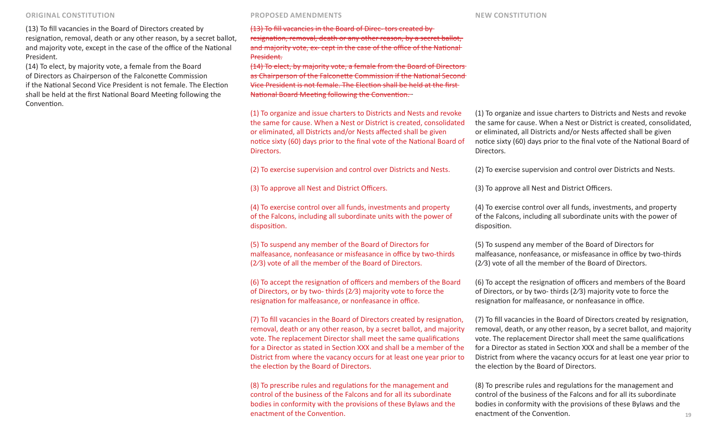(13) To fill vacancies in the Board of Directors created by resignation, removal, death or any other reason, by a secret ballot, and majority vote, except in the case of the office of the National President.

(14) To elect, by majority vote, a female from the Board of Directors as Chairperson of the Falconette Commission if the National Second Vice President is not female. The Election shall be held at the first National Board Meeting following the Convention.

(13) To fill vacancies in the Board of Direc- tors created by resignation, removal, death or any other reason, by a secret ballot, and majority vote, ex- cept in the case of the office of the National President.

(14) To elect, by majority vote, a female from the Board of Directors as Chairperson of the Falconette Commission if the National Second Vice President is not female. The Election shall be held at the first National Board Meeting following the Convention.

(1) To organize and issue charters to Districts and Nests and revoke the same for cause. When a Nest or District is created, consolidated or eliminated, all Districts and/or Nests affected shall be given notice sixty (60) days prior to the final vote of the National Board of Directors.

(2) To exercise supervision and control over Districts and Nests.

(3) To approve all Nest and District Officers.

(4) To exercise control over all funds, investments and property of the Falcons, including all subordinate units with the power of disposition.

(5) To suspend any member of the Board of Directors for malfeasance, nonfeasance or misfeasance in office by two-thirds (2⁄3) vote of all the member of the Board of Directors.

(6) To accept the resignation of officers and members of the Board of Directors, or by two- thirds (2⁄3) majority vote to force the resignation for malfeasance, or nonfeasance in office.

(7) To fill vacancies in the Board of Directors created by resignation, removal, death or any other reason, by a secret ballot, and majority vote. The replacement Director shall meet the same qualifications for a Director as stated in Section XXX and shall be a member of the District from where the vacancy occurs for at least one year prior to the election by the Board of Directors.

(8) To prescribe rules and regulations for the management and control of the business of the Falcons and for all its subordinate bodies in conformity with the provisions of these Bylaws and the enactment of the Convention.

(1) To organize and issue charters to Districts and Nests and revoke the same for cause. When a Nest or District is created, consolidated, or eliminated, all Districts and/or Nests affected shall be given notice sixty (60) days prior to the final vote of the National Board of Directors.

(2) To exercise supervision and control over Districts and Nests.

(3) To approve all Nest and District Officers.

(4) To exercise control over all funds, investments, and property of the Falcons, including all subordinate units with the power of disposition.

(5) To suspend any member of the Board of Directors for malfeasance, nonfeasance, or misfeasance in office by two-thirds (2⁄3) vote of all the member of the Board of Directors.

(6) To accept the resignation of officers and members of the Board of Directors, or by two- thirds (2⁄3) majority vote to force the resignation for malfeasance, or nonfeasance in office.

(7) To fill vacancies in the Board of Directors created by resignation, removal, death, or any other reason, by a secret ballot, and majority vote. The replacement Director shall meet the same qualifications for a Director as stated in Section XXX and shall be a member of the District from where the vacancy occurs for at least one year prior to the election by the Board of Directors.

(8) To prescribe rules and regulations for the management and control of the business of the Falcons and for all its subordinate bodies in conformity with the provisions of these Bylaws and the enactment of the Convention.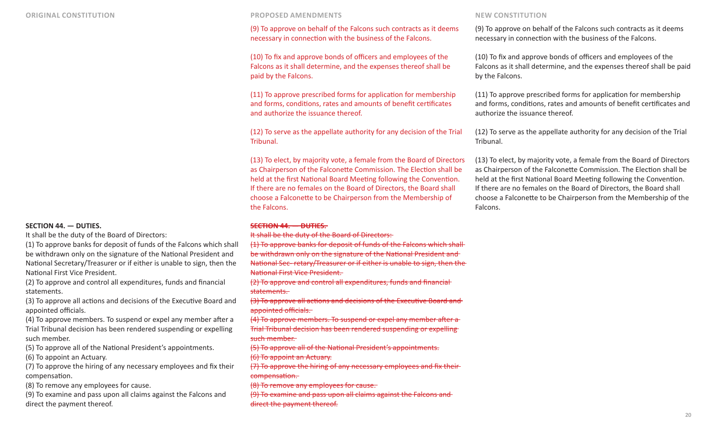### **SECTION 44. — DUTIES.**

It shall be the duty of the Board of Directors:

(1) To approve banks for deposit of funds of the Falcons which shall be withdrawn only on the signature of the National President and National Secretary/Treasurer or if either is unable to sign, then the National First Vice President.

(2) To approve and control all expenditures, funds and financial statements.

(3) To approve all actions and decisions of the Executive Board and appointed officials.

(4) To approve members. To suspend or expel any member after a Trial Tribunal decision has been rendered suspending or expelling such member.

(5) To approve all of the National President's appointments.

(6) To appoint an Actuary.

(7) To approve the hiring of any necessary employees and fix their compensation.

(8) To remove any employees for cause.

(9) To examine and pass upon all claims against the Falcons and direct the payment thereof.

(9) To approve on behalf of the Falcons such contracts as it deems necessary in connection with the business of the Falcons.

(10) To fix and approve bonds of officers and employees of the Falcons as it shall determine, and the expenses thereof shall be paid by the Falcons.

(11) To approve prescribed forms for application for membership and forms, conditions, rates and amounts of benefit certificates and authorize the issuance thereof.

(12) To serve as the appellate authority for any decision of the Trial Tribunal.

(13) To elect, by majority vote, a female from the Board of Directors as Chairperson of the Falconette Commission. The Election shall be held at the first National Board Meeting following the Convention. If there are no females on the Board of Directors, the Board shall choose a Falconette to be Chairperson from the Membership of the Falcons.

### **SECTION 44. — DUTIES.**

It shall be the duty of the Board of Directors:

- (1) To approve banks for deposit of funds of the Falcons which shall
- be withdrawn only on the signature of the National President and

National Sec- retary/Treasurer or if either is unable to sign, then the National First Vice President.

(2) To approve and control all expenditures, funds and financial statements.

(3) To approve all actions and decisions of the Executive Board and appointed officials.

(4) To approve members. To suspend or expel any member after a Trial Tribunal decision has been rendered suspending or expelling such member.

(5) To approve all of the National President's appointments.

(6) To appoint an Actuary.

(7) To approve the hiring of any necessary employees and fix their compensation.

(8) To remove any employees for cause.

(9) To examine and pass upon all claims against the Falcons and direct the payment thereof.

(9) To approve on behalf of the Falcons such contracts as it deems necessary in connection with the business of the Falcons.

(10) To fix and approve bonds of officers and employees of the Falcons as it shall determine, and the expenses thereof shall be paid by the Falcons.

(11) To approve prescribed forms for application for membership and forms, conditions, rates and amounts of benefit certificates and authorize the issuance thereof.

(12) To serve as the appellate authority for any decision of the Trial Tribunal.

(13) To elect, by majority vote, a female from the Board of Directors as Chairperson of the Falconette Commission. The Election shall be held at the first National Board Meeting following the Convention. If there are no females on the Board of Directors, the Board shall choose a Falconette to be Chairperson from the Membership of the Falcons.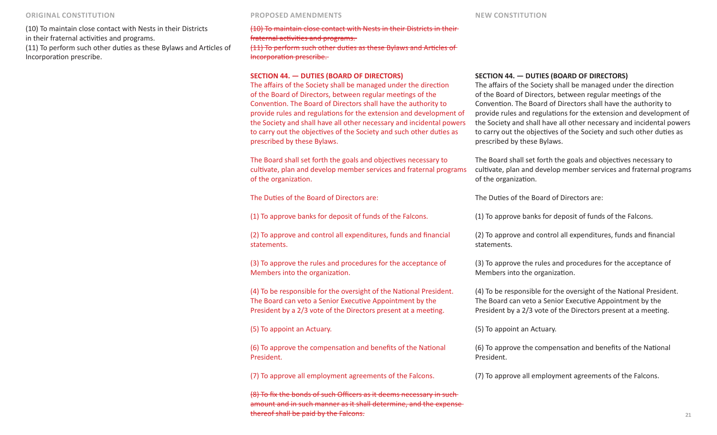(10) To maintain close contact with Nests in their Districts in their fraternal activities and programs.

(11) To perform such other duties as these Bylaws and Articles of Incorporation prescribe.

(10) To maintain close contact with Nests in their Districts in their fraternal activities and programs. (11) To perform such other duties as these Bylaws and Articles of Incorporation prescribe.

#### **SECTION 44. — DUTIES (BOARD OF DIRECTORS)**

The affairs of the Society shall be managed under the direction of the Board of Directors, between regular meetings of the Convention. The Board of Directors shall have the authority to provide rules and regulations for the extension and development of the Society and shall have all other necessary and incidental powers to carry out the objectives of the Society and such other duties as prescribed by these Bylaws.

The Board shall set forth the goals and objectives necessary to cultivate, plan and develop member services and fraternal programs of the organization.

The Duties of the Board of Directors are:

(1) To approve banks for deposit of funds of the Falcons.

(2) To approve and control all expenditures, funds and financial statements.

(3) To approve the rules and procedures for the acceptance of Members into the organization.

(4) To be responsible for the oversight of the National President. The Board can veto a Senior Executive Appointment by the President by a 2/3 vote of the Directors present at a meeting.

(5) To appoint an Actuary.

(6) To approve the compensation and benefits of the National President.

(7) To approve all employment agreements of the Falcons.

(8) To fix the bonds of such Officers as it deems necessary in such amount and in such manner as it shall determine, and the expense thereof shall be paid by the Falcons.

#### **SECTION 44. — DUTIES (BOARD OF DIRECTORS)**

The affairs of the Society shall be managed under the direction of the Board of Directors, between regular meetings of the Convention. The Board of Directors shall have the authority to provide rules and regulations for the extension and development of the Society and shall have all other necessary and incidental powers to carry out the objectives of the Society and such other duties as prescribed by these Bylaws.

The Board shall set forth the goals and objectives necessary to cultivate, plan and develop member services and fraternal programs of the organization.

The Duties of the Board of Directors are:

(1) To approve banks for deposit of funds of the Falcons.

(2) To approve and control all expenditures, funds and financial statements.

(3) To approve the rules and procedures for the acceptance of Members into the organization.

(4) To be responsible for the oversight of the National President. The Board can veto a Senior Executive Appointment by the President by a 2/3 vote of the Directors present at a meeting.

(5) To appoint an Actuary.

(6) To approve the compensation and benefits of the National President.

(7) To approve all employment agreements of the Falcons.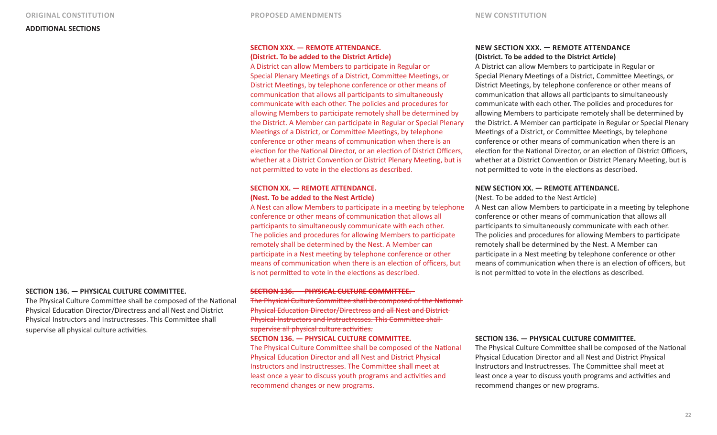# **SECTION XXX. — REMOTE ATTENDANCE. (District. To be added to the District Article)**

A District can allow Members to participate in Regular or Special Plenary Meetings of a District, Committee Meetings, or District Meetings, by telephone conference or other means of communication that allows all participants to simultaneously communicate with each other. The policies and procedures for allowing Members to participate remotely shall be determined by the District. A Member can participate in Regular or Special Plenary Meetings of a District, or Committee Meetings, by telephone conference or other means of communication when there is an election for the National Director, or an election of District Officers, whether at a District Convention or District Plenary Meeting, but is not permitted to vote in the elections as described.

# **SECTION XX. — REMOTE ATTENDANCE. (Nest. To be added to the Nest Article)**

A Nest can allow Members to participate in a meeting by telephone conference or other means of communication that allows all participants to simultaneously communicate with each other. The policies and procedures for allowing Members to participate remotely shall be determined by the Nest. A Member can participate in a Nest meeting by telephone conference or other means of communication when there is an election of officers, but is not permitted to vote in the elections as described.

#### **SECTION 136. — PHYSICAL CULTURE COMMITTEE.**

The Physical Culture Committee shall be composed of the National Physical Education Director/Directress and all Nest and District Physical Instructors and Instructresses. This Committee shall supervise all physical culture activities.

#### **SECTION 136. — PHYSICAL CULTURE COMMITTEE.**

The Physical Culture Committee shall be composed of the National Physical Education Director/Directress and all Nest and District Physical Instructors and Instructresses. This Committee shall supervise all physical culture activities.

#### **SECTION 136. — PHYSICAL CULTURE COMMITTEE.**

The Physical Culture Committee shall be composed of the National Physical Education Director and all Nest and District Physical Instructors and Instructresses. The Committee shall meet at least once a year to discuss youth programs and activities and recommend changes or new programs.

# **NEW SECTION XXX. — REMOTE ATTENDANCE (District. To be added to the District Article)**

A District can allow Members to participate in Regular or Special Plenary Meetings of a District, Committee Meetings, or District Meetings, by telephone conference or other means of communication that allows all participants to simultaneously communicate with each other. The policies and procedures for allowing Members to participate remotely shall be determined by the District. A Member can participate in Regular or Special Plenary Meetings of a District, or Committee Meetings, by telephone conference or other means of communication when there is an election for the National Director, or an election of District Officers, whether at a District Convention or District Plenary Meeting, but is not permitted to vote in the elections as described.

### **NEW SECTION XX. — REMOTE ATTENDANCE.**

(Nest. To be added to the Nest Article)

A Nest can allow Members to participate in a meeting by telephone conference or other means of communication that allows all participants to simultaneously communicate with each other. The policies and procedures for allowing Members to participate remotely shall be determined by the Nest. A Member can participate in a Nest meeting by telephone conference or other means of communication when there is an election of officers, but is not permitted to vote in the elections as described.

#### **SECTION 136. — PHYSICAL CULTURE COMMITTEE.**

The Physical Culture Committee shall be composed of the National Physical Education Director and all Nest and District Physical Instructors and Instructresses. The Committee shall meet at least once a year to discuss youth programs and activities and recommend changes or new programs.